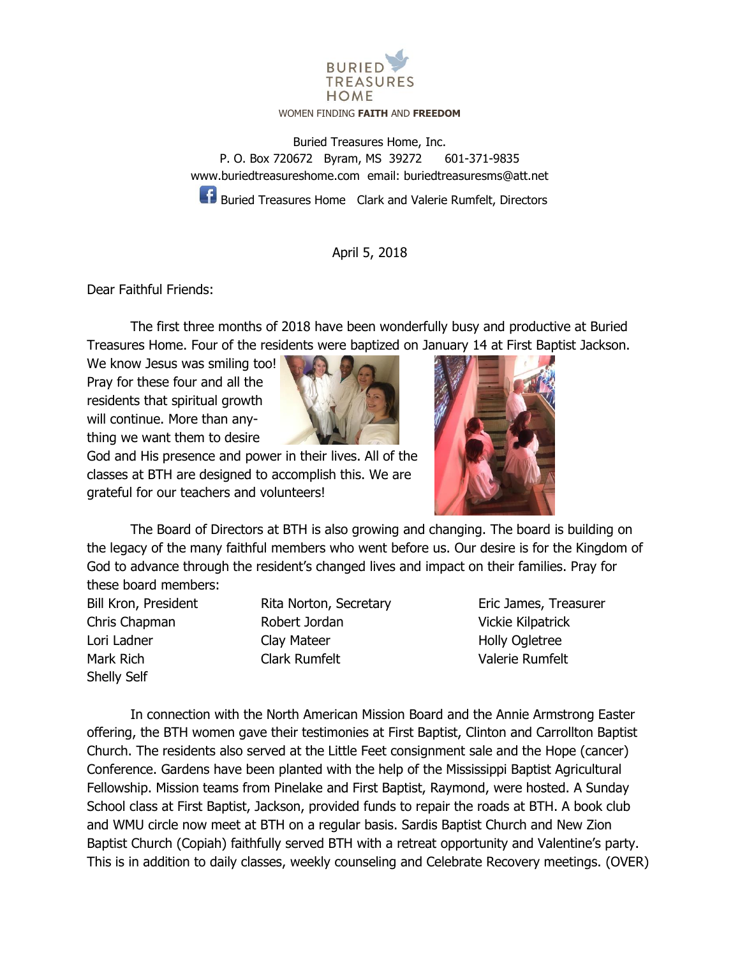

## WOMEN FINDING **FAITH** AND **FREEDOM**

Buried Treasures Home, Inc. P. O. Box 720672 Byram, MS 39272 601-371-9835 [www.buriedtreasureshome.com](http://www.buriedtreasureshome.com/) email: [buriedtreasuresms@att.net](mailto:buriedtreasuresms@att.net)

**Buried Treasures Home** Clark and Valerie Rumfelt, Directors

## April 5, 2018

Dear Faithful Friends:

The first three months of 2018 have been wonderfully busy and productive at Buried Treasures Home. Four of the residents were baptized on January 14 at First Baptist Jackson.

We know Jesus was smiling too! Pray for these four and all the residents that spiritual growth will continue. More than anything we want them to desire



God and His presence and power in their lives. All of the classes at BTH are designed to accomplish this. We are grateful for our teachers and volunteers!



The Board of Directors at BTH is also growing and changing. The board is building on the legacy of the many faithful members who went before us. Our desire is for the Kingdom of God to advance through the resident's changed lives and impact on their families. Pray for these board members:

Shelly Self

Bill Kron, President Rita Norton, Secretary Eric James, Treasurer Chris Chapman Robert Jordan Vickie Kilpatrick Lori Ladner **Clay Mateer** Clay Mateer **Clay Holly Ogletree** Mark Rich Clark Rumfelt Valerie Rumfelt

In connection with the North American Mission Board and the Annie Armstrong Easter offering, the BTH women gave their testimonies at First Baptist, Clinton and Carrollton Baptist Church. The residents also served at the Little Feet consignment sale and the Hope (cancer) Conference. Gardens have been planted with the help of the Mississippi Baptist Agricultural Fellowship. Mission teams from Pinelake and First Baptist, Raymond, were hosted. A Sunday School class at First Baptist, Jackson, provided funds to repair the roads at BTH. A book club and WMU circle now meet at BTH on a regular basis. Sardis Baptist Church and New Zion Baptist Church (Copiah) faithfully served BTH with a retreat opportunity and Valentine's party. This is in addition to daily classes, weekly counseling and Celebrate Recovery meetings. (OVER)